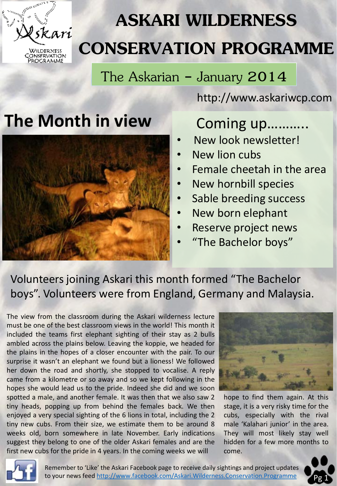

# **ASKARI WILDERNESS CONSERVATION PROGRAMME**

The Askarian - January 2014

http://www.askariwcp.com

# The Month in view Coming up...........



- New look newsletter!
- New lion cubs
- Female cheetah in the area
- New hornbill species
- Sable breeding success
- New born elephant
- Reserve project news
- "The Bachelor boys"

## Volunteers joining Askari this month formed "The Bachelor boys". Volunteers were from England, Germany and Malaysia.

The view from the classroom during the Askari wilderness lecture must be one of the best classroom views in the world! This month it included the teams first elephant sighting of their stay as 2 bulls ambled across the plains below. Leaving the koppie, we headed for the plains in the hopes of a closer encounter with the pair. To our surprise it wasn't an elephant we found but a lioness! We followed her down the road and shortly, she stopped to vocalise. A reply came from a kilometre or so away and so we kept following in the hopes she would lead us to the pride. Indeed she did and we soon spotted a male, and another female. It was then that we also saw 2 tiny heads, popping up from behind the females back. We then enjoyed a very special sighting of the 6 lions in total, including the 2 tiny new cubs. From their size, we estimate them to be around 8 weeks old, born somewhere in late November. Early indications suggest they belong to one of the older Askari females and are the first new cubs for the pride in 4 years. In the coming weeks we will



hope to find them again. At this stage, it is a very risky time for the cubs, especially with the rival male 'Kalahari junior' in the area. They will most likely stay well hidden for a few more months to come.



Remember to 'Like' the Askari Facebook page to receive daily sightings and project updates to your news feed <http://www.facebook.com/Askari.Wilderness.Conservation.Programme>

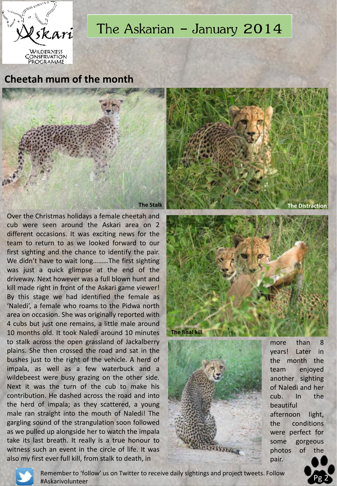

# The Askarian - January 2014

**Cheetah mum of the month**



Over the Christmas holidays a female cheetah and cub were seen around the Askari area on 2 different occasions. It was exciting news for the team to return to as we looked forward to our first sighting and the chance to identify the pair. We didn't have to wait long………The first sighting was just a quick glimpse at the end of the driveway. Next however was a full blown hunt and kill made right in front of the Askari game viewer! By this stage we had identified the female as 'Naledi', a female who roams to the Pidwa north area on occasion. She was originally reported with 4 cubs but just one remains, a little male around 10 months old. It took Naledi around 10 minutes to stalk across the open grassland of Jackalberry plains. She then crossed the road and sat in the bushes just to the right of the vehicle. A herd of impala, as well as a few waterbuck and a wildebeest were busy grazing on the other side. Next it was the turn of the cub to make his contribution. He dashed across the road and into the herd of impala; as they scattered, a young male ran straight into the mouth of Naledi! The gargling sound of the strangulation soon followed as we pulled up alongside her to watch the impala take its last breath. It really is a true honour to witness such an event in the circle of life. It was also my first ever full kill, from stalk to death, in







more than 8 years! Later in the month the team enjoyed another sighting of Naledi and her cub. In the beautiful afternoon light, the conditions were perfect for some gorgeous photos of the pair.



Remember to 'follow' us on Twitter to receive daily sightings and project tweets. Follow #Askarivolunteer

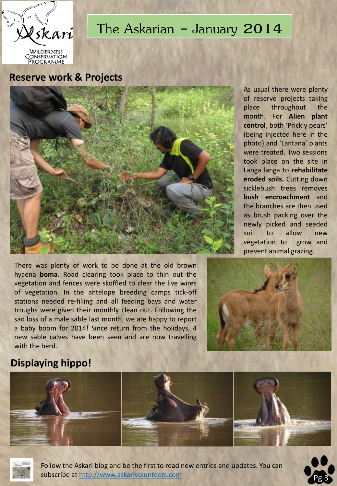

**ROGRAMME** 

# The Askarian - January 2014

#### **Reserve work & Projects**



As usual there were plenty of reserve projects taking place throughout the month. For **Alien plant control**, both 'Prickly pears' (being injected here in the photo) and 'Lantana' plants were treated. Two sessions took place on the site in Langa langa to **rehabilitate eroded soils.** Cutting down sicklebush trees removes **bush encroachment** and the branches are then used as brush packing over the newly picked and seeded soil to allow new vegetation to grow and prevent animal grazing.

There was plenty of work to be done at the old brown hyaena **boma.** Road clearing took place to thin out the vegetation and fences were skoffled to clear the live wires of vegetation. In the antelope breeding camps tick-off stations needed re-filling and all feeding bays and water troughs were given their monthly clean out. Following the sad loss of a male sable last month, we are happy to report a baby boom for 2014! Since return from the holidays, 4 new sable calves have been seen and are now travelling with the herd.



### **Displaying hippo!**





Follow the Askari blog and be the first to read new entries and updates. You can subscribe at [http://www.askarivolunteers.com](http://www.askarivolunteers.com/)

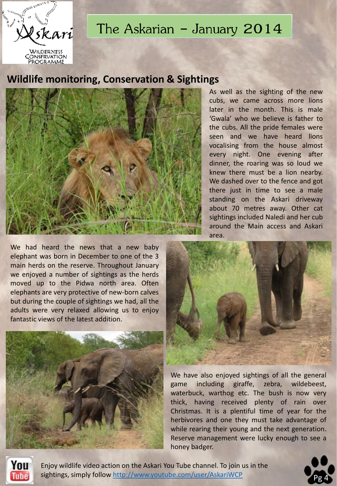

## The Askarian - January  $2014$

#### **Wildlife monitoring, Conservation & Sightings**



We had heard the news that a new baby elephant was born in December to one of the 3 main herds on the reserve. Throughout January we enjoyed a number of sightings as the herds moved up to the Pidwa north area. Often elephants are very protective of new-born calves but during the couple of sightings we had, all the adults were very relaxed allowing us to enjoy fantastic views of the latest addition.



As well as the sighting of the new cubs, we came across more lions later in the month. This is male 'Gwala' who we believe is father to the cubs. All the pride females were seen and we have heard lions vocalising from the house almost every night. One evening after dinner, the roaring was so loud we knew there must be a lion nearby. We dashed over to the fence and got there just in time to see a male standing on the Askari driveway about 70 metres away. Other cat sightings included Naledi and her cub around the Main access and Askari area.



We have also enjoyed sightings of all the general game including giraffe, zebra, wildebeest, waterbuck, warthog etc. The bush is now very thick, having received plenty of rain over Christmas. It is a plentiful time of year for the herbivores and one they must take advantage of while rearing their young and the next generation. Reserve management were lucky enough to see a honey badger.



Enjoy wildlife video action on the Askari You Tube channel. To join us in the sightings, simply follow<http://www.youtube.com/user/AskariWCP>